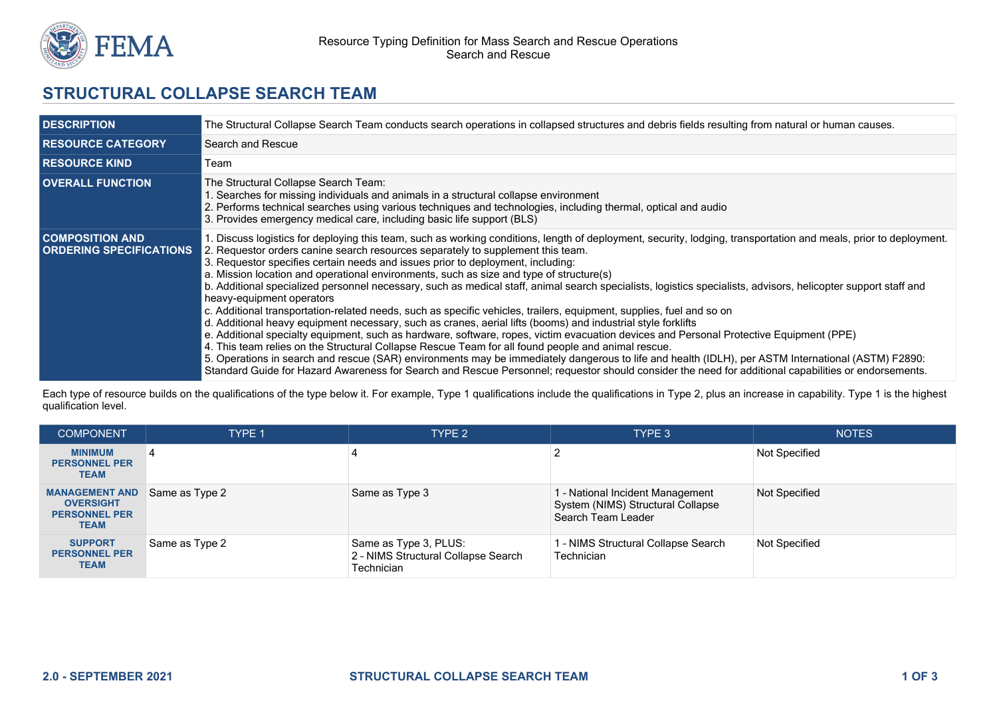

## **STRUCTURAL COLLAPSE SEARCH TEAM**

| <b>DESCRIPTION</b>                                       | The Structural Collapse Search Team conducts search operations in collapsed structures and debris fields resulting from natural or human causes.                                                                                                                                                                                                                                                                                                                                                                                                                                                                                                                                                                                                                                                                                                                                                                                                                                                                                                                                                                                                                                                                                                                                                                                                                                                                                         |  |  |
|----------------------------------------------------------|------------------------------------------------------------------------------------------------------------------------------------------------------------------------------------------------------------------------------------------------------------------------------------------------------------------------------------------------------------------------------------------------------------------------------------------------------------------------------------------------------------------------------------------------------------------------------------------------------------------------------------------------------------------------------------------------------------------------------------------------------------------------------------------------------------------------------------------------------------------------------------------------------------------------------------------------------------------------------------------------------------------------------------------------------------------------------------------------------------------------------------------------------------------------------------------------------------------------------------------------------------------------------------------------------------------------------------------------------------------------------------------------------------------------------------------|--|--|
| <b>RESOURCE CATEGORY</b>                                 | Search and Rescue                                                                                                                                                                                                                                                                                                                                                                                                                                                                                                                                                                                                                                                                                                                                                                                                                                                                                                                                                                                                                                                                                                                                                                                                                                                                                                                                                                                                                        |  |  |
| <b>RESOURCE KIND</b>                                     | Team                                                                                                                                                                                                                                                                                                                                                                                                                                                                                                                                                                                                                                                                                                                                                                                                                                                                                                                                                                                                                                                                                                                                                                                                                                                                                                                                                                                                                                     |  |  |
| <b>OVERALL FUNCTION</b>                                  | The Structural Collapse Search Team:<br>1. Searches for missing individuals and animals in a structural collapse environment<br>2. Performs technical searches using various techniques and technologies, including thermal, optical and audio<br>3. Provides emergency medical care, including basic life support (BLS)                                                                                                                                                                                                                                                                                                                                                                                                                                                                                                                                                                                                                                                                                                                                                                                                                                                                                                                                                                                                                                                                                                                 |  |  |
| <b>COMPOSITION AND</b><br><b>ORDERING SPECIFICATIONS</b> | 1. Discuss logistics for deploying this team, such as working conditions, length of deployment, security, lodging, transportation and meals, prior to deployment.<br>2. Requestor orders canine search resources separately to supplement this team.<br>3. Requestor specifies certain needs and issues prior to deployment, including:<br>a. Mission location and operational environments, such as size and type of structure(s)<br>b. Additional specialized personnel necessary, such as medical staff, animal search specialists, logistics specialists, advisors, helicopter support staff and<br>heavy-equipment operators<br>c. Additional transportation-related needs, such as specific vehicles, trailers, equipment, supplies, fuel and so on<br>d. Additional heavy equipment necessary, such as cranes, aerial lifts (booms) and industrial style forklifts<br>e. Additional specialty equipment, such as hardware, software, ropes, victim evacuation devices and Personal Protective Equipment (PPE)<br>4. This team relies on the Structural Collapse Rescue Team for all found people and animal rescue.<br>5. Operations in search and rescue (SAR) environments may be immediately dangerous to life and health (IDLH), per ASTM International (ASTM) F2890:<br>Standard Guide for Hazard Awareness for Search and Rescue Personnel; requestor should consider the need for additional capabilities or endorsements. |  |  |

Each type of resource builds on the qualifications of the type below it. For example, Type 1 qualifications include the qualifications in Type 2, plus an increase in capability. Type 1 is the highest qualification level.

| <b>COMPONENT</b>                                                                 | <b>TYPE 1</b>  | TYPE 2                                                                     | TYPE 3                                                                                      | <b>NOTES</b>         |
|----------------------------------------------------------------------------------|----------------|----------------------------------------------------------------------------|---------------------------------------------------------------------------------------------|----------------------|
| <b>MINIMUM</b><br><b>PERSONNEL PER</b><br><b>TEAM</b>                            | 4              |                                                                            |                                                                                             | <b>Not Specified</b> |
| <b>MANAGEMENT AND</b><br><b>OVERSIGHT</b><br><b>PERSONNEL PER</b><br><b>TEAM</b> | Same as Type 2 | Same as Type 3                                                             | l - National Incident Management<br>System (NIMS) Structural Collapse<br>Search Team Leader | <b>Not Specified</b> |
| <b>SUPPORT</b><br><b>PERSONNEL PER</b><br><b>TEAM</b>                            | Same as Type 2 | Same as Type 3, PLUS:<br>2 - NIMS Structural Collapse Search<br>Technician | I - NIMS Structural Collapse Search<br>Technician                                           | <b>Not Specified</b> |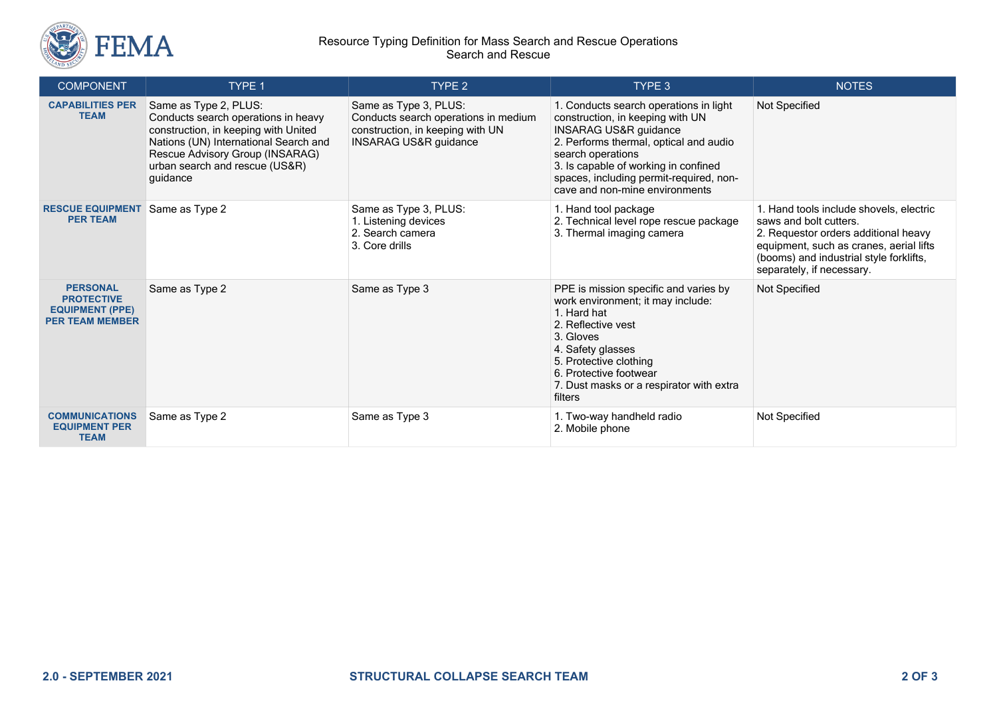

## Resource Typing Definition for Mass Search and Rescue Operations Search and Rescue

| <b>COMPONENT</b>                                                                         | TYPE 1                                                                                                                                                                                                                         | TYPE <sub>2</sub>                                                                                                                     | TYPE 3                                                                                                                                                                                                                                                                                             | <b>NOTES</b>                                                                                                                                                                                                                 |
|------------------------------------------------------------------------------------------|--------------------------------------------------------------------------------------------------------------------------------------------------------------------------------------------------------------------------------|---------------------------------------------------------------------------------------------------------------------------------------|----------------------------------------------------------------------------------------------------------------------------------------------------------------------------------------------------------------------------------------------------------------------------------------------------|------------------------------------------------------------------------------------------------------------------------------------------------------------------------------------------------------------------------------|
| <b>CAPABILITIES PER</b><br><b>TEAM</b>                                                   | Same as Type 2, PLUS:<br>Conducts search operations in heavy<br>construction, in keeping with United<br>Nations (UN) International Search and<br>Rescue Advisory Group (INSARAG)<br>urban search and rescue (US&R)<br>quidance | Same as Type 3, PLUS:<br>Conducts search operations in medium<br>construction, in keeping with UN<br><b>INSARAG US&amp;R guidance</b> | 1. Conducts search operations in light<br>construction, in keeping with UN<br><b>INSARAG US&amp;R guidance</b><br>2. Performs thermal, optical and audio<br>search operations<br>3. Is capable of working in confined<br>spaces, including permit-required, non-<br>cave and non-mine environments | Not Specified                                                                                                                                                                                                                |
| <b>RESCUE EQUIPMENT</b><br><b>PER TEAM</b>                                               | Same as Type 2                                                                                                                                                                                                                 | Same as Type 3, PLUS:<br>1. Listening devices<br>2. Search camera<br>3. Core drills                                                   | 1. Hand tool package<br>2. Technical level rope rescue package<br>3. Thermal imaging camera                                                                                                                                                                                                        | 1. Hand tools include shovels, electric<br>saws and bolt cutters.<br>2. Requestor orders additional heavy<br>equipment, such as cranes, aerial lifts<br>(booms) and industrial style forklifts,<br>separately, if necessary. |
| <b>PERSONAL</b><br><b>PROTECTIVE</b><br><b>EQUIPMENT (PPE)</b><br><b>PER TEAM MEMBER</b> | Same as Type 2                                                                                                                                                                                                                 | Same as Type 3                                                                                                                        | PPE is mission specific and varies by<br>work environment; it may include:<br>1. Hard hat<br>2. Reflective vest<br>3. Gloves<br>4. Safety glasses<br>5. Protective clothing<br>6. Protective footwear<br>7. Dust masks or a respirator with extra<br>filters                                       | Not Specified                                                                                                                                                                                                                |
| <b>COMMUNICATIONS</b><br><b>EQUIPMENT PER</b><br><b>TEAM</b>                             | Same as Type 2                                                                                                                                                                                                                 | Same as Type 3                                                                                                                        | 1. Two-way handheld radio<br>2. Mobile phone                                                                                                                                                                                                                                                       | Not Specified                                                                                                                                                                                                                |